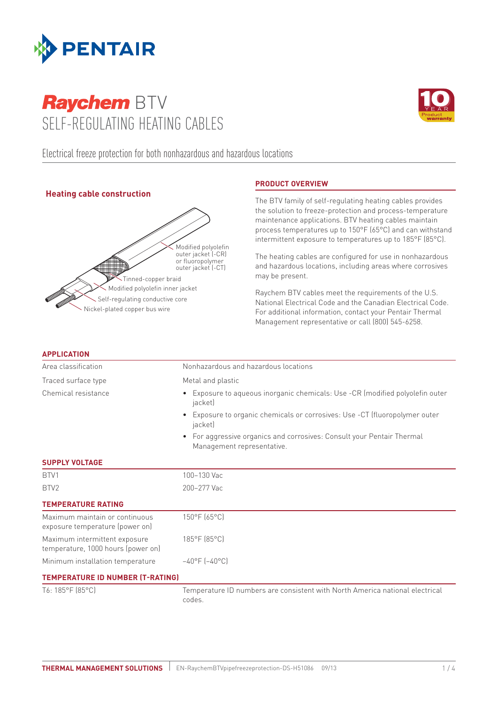

# **Raychem BTV** Self-regulating heating cables



Electrical freeze protection for both nonhazardous and hazardous locations

# **Heating cable construction**



# **Product overview**

The BTV family of self-regulating heating cables provides the solution to freeze-protection and process-temperature maintenance applications. BTV heating cables maintain process temperatures up to 150°F (65°C) and can withstand intermittent exposure to temperatures up to 185°F (85°C).

The heating cables are configured for use in nonhazardous and hazardous locations, including areas where corrosives may be present.

Raychem BTV cables meet the requirements of the U.S. National Electrical Code and the Canadian Electrical Code. For additional information, contact your Pentair Thermal Management representative or call (800) 545-6258.

| <b>APPLICATION</b>                                                  |                                                                                                    |  |  |  |  |
|---------------------------------------------------------------------|----------------------------------------------------------------------------------------------------|--|--|--|--|
| Area classification                                                 | Nonhazardous and hazardous locations                                                               |  |  |  |  |
| Traced surface type                                                 | Metal and plastic                                                                                  |  |  |  |  |
| Chemical resistance                                                 | Exposure to aqueous inorganic chemicals: Use -CR (modified polyolefin outer<br>jacket)             |  |  |  |  |
|                                                                     | Exposure to organic chemicals or corrosives: Use -CT (fluoropolymer outer<br>jacket)               |  |  |  |  |
|                                                                     | For aggressive organics and corrosives: Consult your Pentair Thermal<br>Management representative. |  |  |  |  |
| <b>SUPPLY VOLTAGE</b>                                               |                                                                                                    |  |  |  |  |
| BTV1                                                                | 100-130 Vac                                                                                        |  |  |  |  |
| BTV <sub>2</sub>                                                    | 200-277 Vac                                                                                        |  |  |  |  |
| <b>TEMPERATURE RATING</b>                                           |                                                                                                    |  |  |  |  |
| Maximum maintain or continuous<br>exposure temperature (power on)   | 150°F (65°C)                                                                                       |  |  |  |  |
| Maximum intermittent exposure<br>temperature, 1000 hours (power on) | 185°F (85°C)                                                                                       |  |  |  |  |
| Minimum installation temperature                                    | $-40^{\circ}$ F ( $-40^{\circ}$ C)                                                                 |  |  |  |  |
| <b>TEMPERATURE ID NUMBER (T-RATING)</b>                             |                                                                                                    |  |  |  |  |
| T6: 185°F (85°C)                                                    | Temperature ID numbers are consistent with North America national electrical<br>codes.             |  |  |  |  |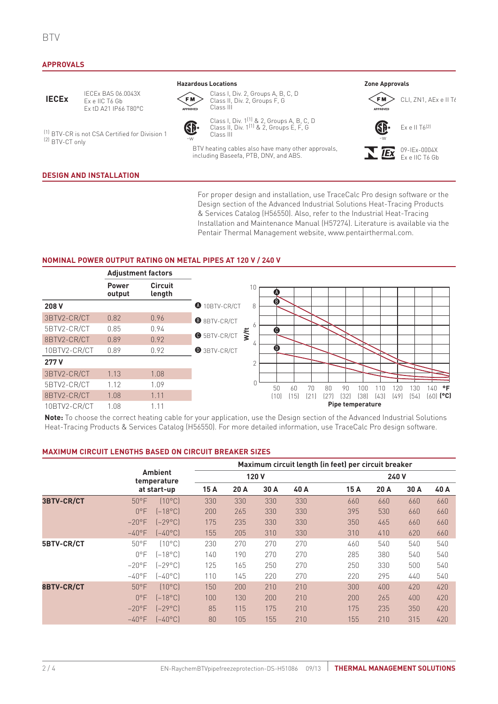#### **Approvals**

# **IECEx**

IECEx BAS 06.0043X Ex e IIC T6 Gb Ex tD A21 IP66 T80°C

(1) BTV-CR is not CSA Certified for Division 1 (2) BTV-CT only

#### **Design and Installation**

**Hazardous Locations Zone Approvals**



Class I, Div. 2, Groups A, B, C, D Class II, Div. 2, Groups F, G Class III



Class I, Div. 1(1) & 2, Groups A, B, C, D Class II, Div. 1(1) & 2, Groups E, F, G Class III -w -w

BTV heating cables also have many other approvals, including Baseefa, PTB, DNV, and ABS.





09-IEx-0004X **IEx** Ex e IIC T6 Gb

For proper design and installation, use TraceCalc Pro design software or the Design section of the Advanced Industrial Solutions Heat-Tracing Products & Services Catalog (H56550). Also, refer to the Industrial Heat-Tracing Installation and Maintenance Manual (H57274). Literature is available via the Pentair Thermal Management website, www.pentairthermal.com.

#### **Nominal Power Output Rating on Metal Pipes at 120 V / 240 V**



**Note:** To choose the correct heating cable for your application, use the Design section of the Advanced Industrial Solutions Heat-Tracing Products & Services Catalog (H56550). For more detailed information, use TraceCalc Pro design software.

#### **Maximum Circuit Lengths Based on Circuit Breaker Sizes**

|                   |                                              |                   | Maximum circuit length (in feet) per circuit breaker |      |      |      |      |      |      |      |  |
|-------------------|----------------------------------------------|-------------------|------------------------------------------------------|------|------|------|------|------|------|------|--|
|                   | <b>Ambient</b><br>temperature<br>at start-up |                   | 120V                                                 |      |      |      | 240V |      |      |      |  |
|                   |                                              |                   | 15A                                                  | 20 A | 30 A | 40 A | 15A  | 20 A | 30 A | 40 A |  |
| <b>3BTV-CR/CT</b> | $50^{\circ}$ F                               | $[10^{\circ}$ C   | 330                                                  | 330  | 330  | 330  | 660  | 660  | 660  | 660  |  |
|                   | $0^{\circ}$ F                                | $[-18^{\circ}C]$  | 200                                                  | 265  | 330  | 330  | 395  | 530  | 660  | 660  |  |
|                   | $-20$ °F                                     | $[-29^{\circ}$ C1 | 175                                                  | 235  | 330  | 330  | 350  | 465  | 660  | 660  |  |
|                   | $-40^{\circ}$ F                              | $[-40^{\circ}$ C  | 155                                                  | 205  | 310  | 330  | 310  | 410  | 620  | 660  |  |
| <b>5BTV-CR/CT</b> | $50^{\circ}$ F                               | 10°C)             | 230                                                  | 270  | 270  | 270  | 460  | 540  | 540  | 540  |  |
|                   | $0^{\circ}$ F                                | (–18°C)           | 140                                                  | 190  | 270  | 270  | 285  | 380  | 540  | 540  |  |
|                   | $-20^{\circ}$ F                              | $[-29^{\circ}C]$  | 125                                                  | 165  | 250  | 270  | 250  | 330  | 500  | 540  |  |
|                   | $-40$ °F                                     | (–40°C)           | 110                                                  | 145  | 220  | 270  | 220  | 295  | 440  | 540  |  |
| 8BTV-CR/CT        | $50^{\circ}$ F                               | $[10^{\circ}$ C   | 150                                                  | 200  | 210  | 210  | 300  | 400  | 420  | 420  |  |
|                   | $0^{\circ}$ F                                | $[-18^{\circ}C]$  | 100                                                  | 130  | 200  | 210  | 200  | 265  | 400  | 420  |  |
|                   | $-20$ °F                                     | $[-29^{\circ}C]$  | 85                                                   | 115  | 175  | 210  | 175  | 235  | 350  | 420  |  |
|                   | $-40^{\circ}$ F                              | $[-40^{\circ}$ C  | 80                                                   | 105  | 155  | 210  | 155  | 210  | 315  | 420  |  |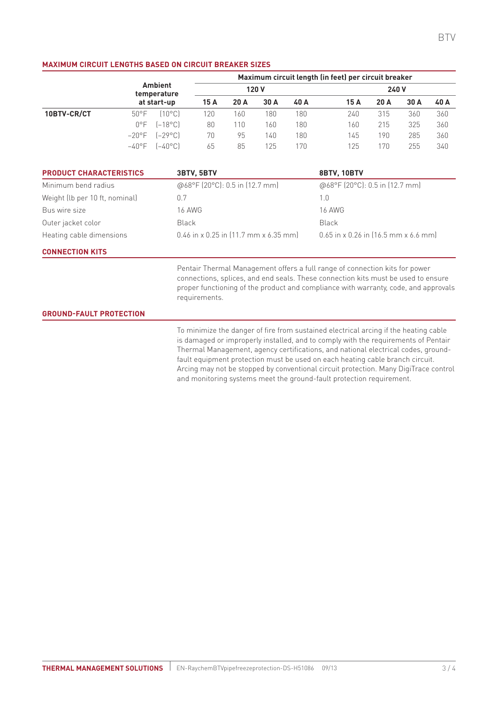#### **Maximum Circuit Lengths Based on Circuit Breaker Sizes**

|             |                               |                  | Maximum circuit length (in feet) per circuit breaker |      |      |       |      |      |      |      |
|-------------|-------------------------------|------------------|------------------------------------------------------|------|------|-------|------|------|------|------|
|             | <b>Ambient</b><br>temperature | 120 V            |                                                      |      |      | 240 V |      |      |      |      |
|             | at start-up                   |                  | 15 A                                                 | 20 A | 30 A | 40 A  | 15 A | 20 A | 30 A | 40 A |
| 10BTV-CR/CT | $50^{\circ}$ F                | 10°C1            | 20                                                   | 160  | 180  | 180   | 240  | 315  | 360  | 360  |
|             | $0^{\circ}F$                  | $[-18^{\circ}C]$ | 80                                                   | 110  | 160  | 180   | 160  | 215  | 325  | 360  |
|             | $-20^{\circ}$ F               | $[-29^{\circ}C]$ | 70                                                   | 95   | 140  | 180   | 145  | 190  | 285  | 360  |
|             | $-40^{\circ}$ F               | $[-40^{\circ}$ C | 65                                                   | 85   | 125  | 170   | 125  | 170  | 255  | 340  |

| <b>PRODUCT CHARACTERISTICS</b> | 3BTV, 5BTV                              | <b>8BTV, 10BTV</b>                     |
|--------------------------------|-----------------------------------------|----------------------------------------|
| Minimum bend radius            | @68°F (20°C): 0.5 in (12.7 mm)          | @68°F (20°C): 0.5 in (12.7 mm)         |
| Weight (lb per 10 ft, nominal) | 0.7                                     | 1.U                                    |
| Bus wire size                  | 16 AWG                                  | 16 AWG                                 |
| Outer jacket color             | Black                                   | Black                                  |
| Heating cable dimensions       | $0.46$ in x 0.25 in (11.7 mm x 6.35 mm) | $0.65$ in x 0.26 in (16.5 mm x 6.6 mm) |

### **Connection Kits**

Pentair Thermal Management offers a full range of connection kits for power connections, splices, and end seals. These connection kits must be used to ensure proper functioning of the product and compliance with warranty, code, and approvals requirements.

#### **Ground-Fault Protection**

To minimize the danger of fire from sustained electrical arcing if the heating cable is damaged or improperly installed, and to comply with the requirements of Pentair Thermal Management, agency certifications, and national electrical codes, groundfault equipment protection must be used on each heating cable branch circuit. Arcing may not be stopped by conventional circuit protection. Many DigiTrace control and monitoring systems meet the ground-fault protection requirement.